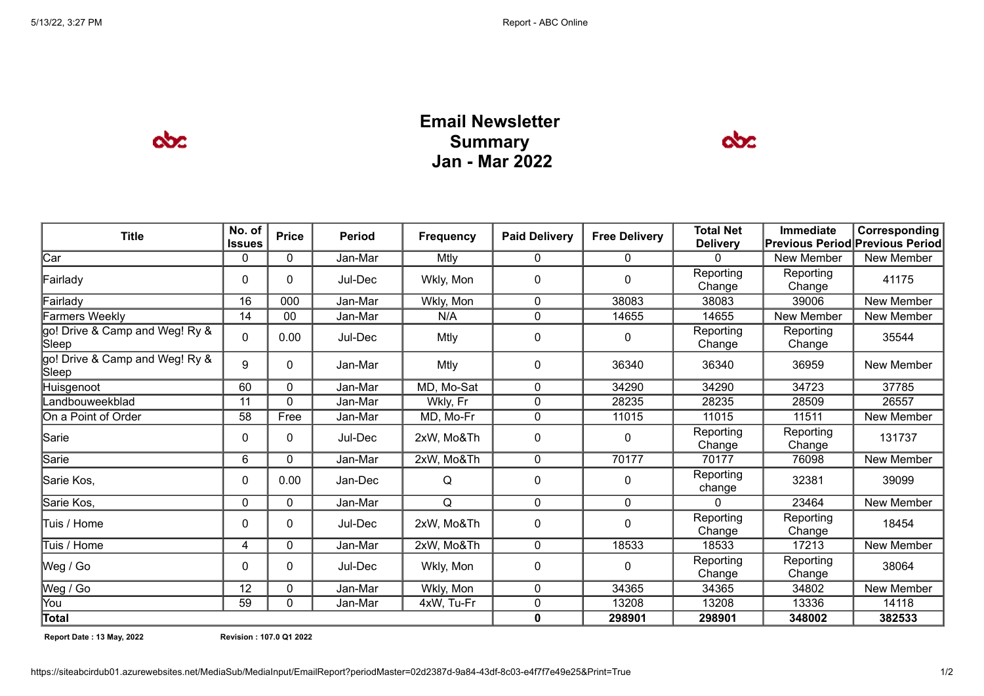$\infty$ 

## **Email Newsletter Summary Jan - Mar 2022**



| <b>Title</b>                            | No. of<br><b>Issues</b> | <b>Price</b> | <b>Period</b> | <b>Frequency</b> | <b>Paid Delivery</b> | <b>Free Delivery</b> | <b>Total Net</b><br><b>Delivery</b> | <b>Immediate</b><br><b>Previous Period Previous Period</b> | <b>Corresponding</b> |
|-----------------------------------------|-------------------------|--------------|---------------|------------------|----------------------|----------------------|-------------------------------------|------------------------------------------------------------|----------------------|
| Car                                     | 0                       | $\Omega$     | Jan-Mar       | Mtly             | 0                    | $\mathbf{0}$         | 0                                   | New Member                                                 | New Member           |
| Fairlady                                | 0                       | 0            | Jul-Dec       | Wkly, Mon        | 0                    | 0                    | Reporting<br>Change                 | Reporting<br>Change                                        | 41175                |
| Fairlady                                | 16                      | 000          | Jan-Mar       | Wkly, Mon        | $\Omega$             | 38083                | 38083                               | 39006                                                      | New Member           |
| Farmers Weekly                          | 14                      | 00           | Jan-Mar       | N/A              | 0                    | 14655                | 14655                               | New Member                                                 | New Member           |
| go! Drive & Camp and Weg! Ry &<br>Sleep | 0                       | 0.00         | Jul-Dec       | Mtly             | 0                    | 0                    | Reporting<br>Change                 | Reporting<br>Change                                        | 35544                |
| go! Drive & Camp and Weg! Ry &<br>Sleep | 9                       | 0            | Jan-Mar       | Mtly             | 0                    | 36340                | 36340                               | 36959                                                      | New Member           |
| Huisgenoot                              | 60                      | $\Omega$     | Jan-Mar       | MD, Mo-Sat       | 0                    | 34290                | 34290                               | 34723                                                      | 37785                |
| Landbouweekblad                         | 11                      | $\Omega$     | Jan-Mar       | Wkly, Fr         | 0                    | 28235                | 28235                               | 28509                                                      | 26557                |
| On a Point of Order                     | 58                      | Free         | Jan-Mar       | MD, Mo-Fr        | 0                    | 11015                | 11015                               | 11511                                                      | New Member           |
| Sarie                                   | 0                       | 0            | Jul-Dec       | 2xW, Mo&Th       | 0                    | $\mathbf{0}$         | Reporting<br>Change                 | Reporting<br>Change                                        | 131737               |
| Sarie                                   | 6                       | $\Omega$     | Jan-Mar       | 2xW, Mo&Th       | $\Omega$             | 70177                | 70177                               | 76098                                                      | New Member           |
| Sarie Kos,                              | 0                       | 0.00         | Jan-Dec       | Q                | 0                    | $\mathbf{0}$         | Reporting<br>change                 | 32381                                                      | 39099                |
| Sarie Kos,                              | 0                       | $\Omega$     | Jan-Mar       | Q                | $\mathbf{0}$         | $\mathbf{0}$         | $\Omega$                            | 23464                                                      | New Member           |
| lTuis / Home                            | 0                       | 0            | Jul-Dec       | 2xW, Mo&Th       | 0                    | 0                    | Reporting<br>Change                 | Reporting<br>Change                                        | 18454                |
| Tuis / Home                             | 4                       | 0            | Jan-Mar       | 2xW, Mo&Th       | 0                    | 18533                | 18533                               | 17213                                                      | New Member           |
| Weg / Go                                | 0                       | 0            | Jul-Dec       | Wkly, Mon        | 0                    | $\mathbf{0}$         | Reporting<br>Change                 | Reporting<br>Change                                        | 38064                |
| Weg / Go                                | 12                      | 0            | Jan-Mar       | Wkly, Mon        | 0                    | 34365                | 34365                               | 34802                                                      | New Member           |
| You                                     | 59                      | 0            | Jan-Mar       | 4xW, Tu-Fr       | 0                    | 13208                | 13208                               | 13336                                                      | 14118                |
| Total                                   |                         |              |               |                  | $\mathbf{0}$         | 298901               | 298901                              | 348002                                                     | 382533               |

**Report Date : 13 May, 2022 Revision : 107.0 Q1 2022**